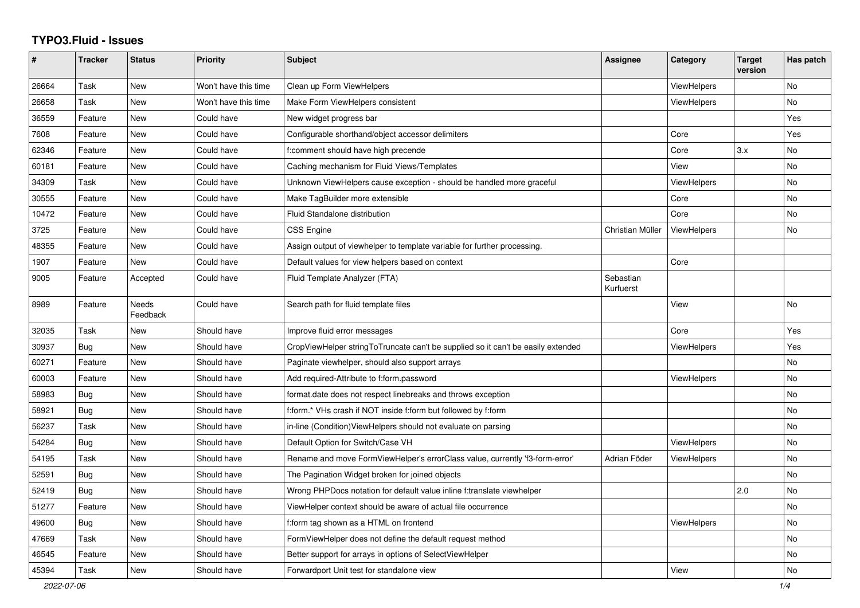## **TYPO3.Fluid - Issues**

| #     | Tracker | <b>Status</b>     | <b>Priority</b>      | <b>Subject</b>                                                                   | Assignee               | Category           | <b>Target</b><br>version | Has patch      |
|-------|---------|-------------------|----------------------|----------------------------------------------------------------------------------|------------------------|--------------------|--------------------------|----------------|
| 26664 | Task    | New               | Won't have this time | Clean up Form ViewHelpers                                                        |                        | <b>ViewHelpers</b> |                          | N <sub>o</sub> |
| 26658 | Task    | <b>New</b>        | Won't have this time | Make Form ViewHelpers consistent                                                 |                        | <b>ViewHelpers</b> |                          | No             |
| 36559 | Feature | New               | Could have           | New widget progress bar                                                          |                        |                    |                          | Yes            |
| 7608  | Feature | <b>New</b>        | Could have           | Configurable shorthand/object accessor delimiters                                |                        | Core               |                          | Yes            |
| 62346 | Feature | New               | Could have           | f:comment should have high precende                                              |                        | Core               | 3.x                      | No             |
| 60181 | Feature | New               | Could have           | Caching mechanism for Fluid Views/Templates                                      |                        | View               |                          | No             |
| 34309 | Task    | <b>New</b>        | Could have           | Unknown ViewHelpers cause exception - should be handled more graceful            |                        | ViewHelpers        |                          | No             |
| 30555 | Feature | New               | Could have           | Make TagBuilder more extensible                                                  |                        | Core               |                          | No             |
| 10472 | Feature | <b>New</b>        | Could have           | Fluid Standalone distribution                                                    |                        | Core               |                          | No             |
| 3725  | Feature | New               | Could have           | <b>CSS Engine</b>                                                                | Christian Müller       | <b>ViewHelpers</b> |                          | No             |
| 48355 | Feature | New               | Could have           | Assign output of viewhelper to template variable for further processing.         |                        |                    |                          |                |
| 1907  | Feature | <b>New</b>        | Could have           | Default values for view helpers based on context                                 |                        | Core               |                          |                |
| 9005  | Feature | Accepted          | Could have           | Fluid Template Analyzer (FTA)                                                    | Sebastian<br>Kurfuerst |                    |                          |                |
| 8989  | Feature | Needs<br>Feedback | Could have           | Search path for fluid template files                                             |                        | View               |                          | No             |
| 32035 | Task    | New               | Should have          | Improve fluid error messages                                                     |                        | Core               |                          | Yes            |
| 30937 | Bug     | New               | Should have          | CropViewHelper stringToTruncate can't be supplied so it can't be easily extended |                        | ViewHelpers        |                          | Yes            |
| 60271 | Feature | New               | Should have          | Paginate viewhelper, should also support arrays                                  |                        |                    |                          | No             |
| 60003 | Feature | <b>New</b>        | Should have          | Add required-Attribute to f:form.password                                        |                        | <b>ViewHelpers</b> |                          | No             |
| 58983 | Bug     | New               | Should have          | format.date does not respect linebreaks and throws exception                     |                        |                    |                          | No             |
| 58921 | Bug     | <b>New</b>        | Should have          | f:form.* VHs crash if NOT inside f:form but followed by f:form                   |                        |                    |                          | No             |
| 56237 | Task    | <b>New</b>        | Should have          | in-line (Condition)ViewHelpers should not evaluate on parsing                    |                        |                    |                          | No             |
| 54284 | Bug     | <b>New</b>        | Should have          | Default Option for Switch/Case VH                                                |                        | <b>ViewHelpers</b> |                          | No             |
| 54195 | Task    | <b>New</b>        | Should have          | Rename and move FormViewHelper's errorClass value, currently 'f3-form-error'     | Adrian Föder           | <b>ViewHelpers</b> |                          | No             |
| 52591 | Bug     | New               | Should have          | The Pagination Widget broken for joined objects                                  |                        |                    |                          | No             |
| 52419 | Bug     | <b>New</b>        | Should have          | Wrong PHPDocs notation for default value inline f:translate viewhelper           |                        |                    | 2.0                      | No             |
| 51277 | Feature | New               | Should have          | ViewHelper context should be aware of actual file occurrence                     |                        |                    |                          | No             |
| 49600 | Bug     | New               | Should have          | f:form tag shown as a HTML on frontend                                           |                        | <b>ViewHelpers</b> |                          | No             |
| 47669 | Task    | <b>New</b>        | Should have          | FormViewHelper does not define the default request method                        |                        |                    |                          | No             |
| 46545 | Feature | <b>New</b>        | Should have          | Better support for arrays in options of SelectViewHelper                         |                        |                    |                          | No             |
| 45394 | Task    | New               | Should have          | Forwardport Unit test for standalone view                                        |                        | View               |                          | No             |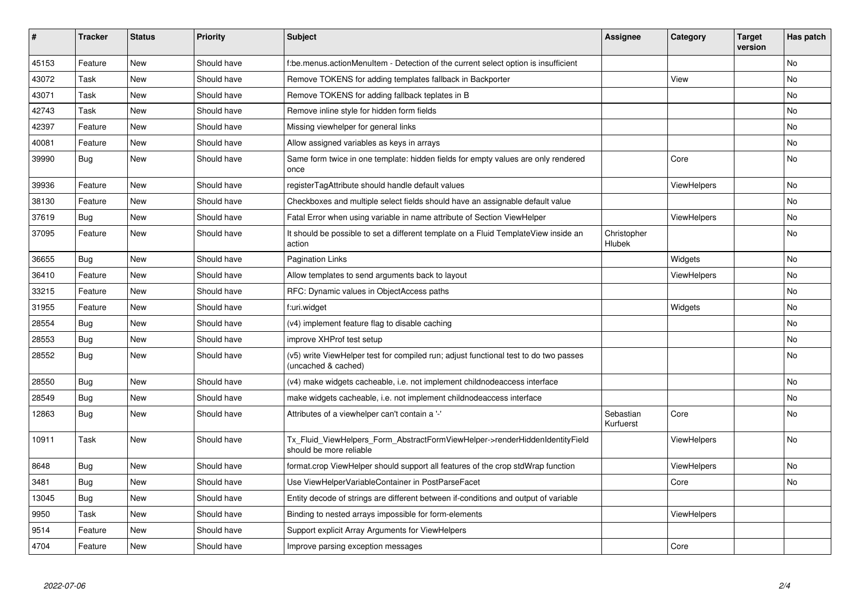| #     | <b>Tracker</b> | <b>Status</b> | <b>Priority</b> | Subject                                                                                                     | <b>Assignee</b>              | Category           | <b>Target</b><br>version | Has patch |
|-------|----------------|---------------|-----------------|-------------------------------------------------------------------------------------------------------------|------------------------------|--------------------|--------------------------|-----------|
| 45153 | Feature        | <b>New</b>    | Should have     | f:be.menus.actionMenuItem - Detection of the current select option is insufficient                          |                              |                    |                          | No        |
| 43072 | Task           | New           | Should have     | Remove TOKENS for adding templates fallback in Backporter                                                   |                              | View               |                          | No        |
| 43071 | Task           | New           | Should have     | Remove TOKENS for adding fallback teplates in B                                                             |                              |                    |                          | No        |
| 42743 | Task           | New           | Should have     | Remove inline style for hidden form fields                                                                  |                              |                    |                          | No        |
| 42397 | Feature        | New           | Should have     | Missing viewhelper for general links                                                                        |                              |                    |                          | No        |
| 40081 | Feature        | New           | Should have     | Allow assigned variables as keys in arrays                                                                  |                              |                    |                          | No        |
| 39990 | Bug            | <b>New</b>    | Should have     | Same form twice in one template: hidden fields for empty values are only rendered<br>once                   |                              | Core               |                          | <b>No</b> |
| 39936 | Feature        | <b>New</b>    | Should have     | registerTagAttribute should handle default values                                                           |                              | <b>ViewHelpers</b> |                          | No        |
| 38130 | Feature        | <b>New</b>    | Should have     | Checkboxes and multiple select fields should have an assignable default value                               |                              |                    |                          | No        |
| 37619 | Bug            | <b>New</b>    | Should have     | Fatal Error when using variable in name attribute of Section ViewHelper                                     |                              | <b>ViewHelpers</b> |                          | No        |
| 37095 | Feature        | New           | Should have     | It should be possible to set a different template on a Fluid TemplateView inside an<br>action               | Christopher<br><b>Hlubek</b> |                    |                          | <b>No</b> |
| 36655 | Bug            | New           | Should have     | <b>Pagination Links</b>                                                                                     |                              | Widgets            |                          | <b>No</b> |
| 36410 | Feature        | New           | Should have     | Allow templates to send arguments back to layout                                                            |                              | ViewHelpers        |                          | No        |
| 33215 | Feature        | New           | Should have     | RFC: Dynamic values in ObjectAccess paths                                                                   |                              |                    |                          | No        |
| 31955 | Feature        | New           | Should have     | f:uri.widget                                                                                                |                              | Widgets            |                          | No        |
| 28554 | Bug            | <b>New</b>    | Should have     | (v4) implement feature flag to disable caching                                                              |                              |                    |                          | No        |
| 28553 | <b>Bug</b>     | New           | Should have     | improve XHProf test setup                                                                                   |                              |                    |                          | No        |
| 28552 | Bug            | New           | Should have     | (v5) write ViewHelper test for compiled run; adjust functional test to do two passes<br>(uncached & cached) |                              |                    |                          | No        |
| 28550 | Bug            | <b>New</b>    | Should have     | (v4) make widgets cacheable, i.e. not implement childnodeaccess interface                                   |                              |                    |                          | No        |
| 28549 | <b>Bug</b>     | New           | Should have     | make widgets cacheable, i.e. not implement childnodeaccess interface                                        |                              |                    |                          | No        |
| 12863 | Bug            | New           | Should have     | Attributes of a viewhelper can't contain a '-'                                                              | Sebastian<br>Kurfuerst       | Core               |                          | No        |
| 10911 | Task           | New           | Should have     | Tx Fluid ViewHelpers Form AbstractFormViewHelper->renderHiddenIdentityField<br>should be more reliable      |                              | <b>ViewHelpers</b> |                          | No        |
| 8648  | Bug            | New           | Should have     | format.crop ViewHelper should support all features of the crop stdWrap function                             |                              | <b>ViewHelpers</b> |                          | No        |
| 3481  | Bug            | New           | Should have     | Use ViewHelperVariableContainer in PostParseFacet                                                           |                              | Core               |                          | No        |
| 13045 | Bug            | New           | Should have     | Entity decode of strings are different between if-conditions and output of variable                         |                              |                    |                          |           |
| 9950  | Task           | New           | Should have     | Binding to nested arrays impossible for form-elements                                                       |                              | ViewHelpers        |                          |           |
| 9514  | Feature        | New           | Should have     | Support explicit Array Arguments for ViewHelpers                                                            |                              |                    |                          |           |
| 4704  | Feature        | <b>New</b>    | Should have     | Improve parsing exception messages                                                                          |                              | Core               |                          |           |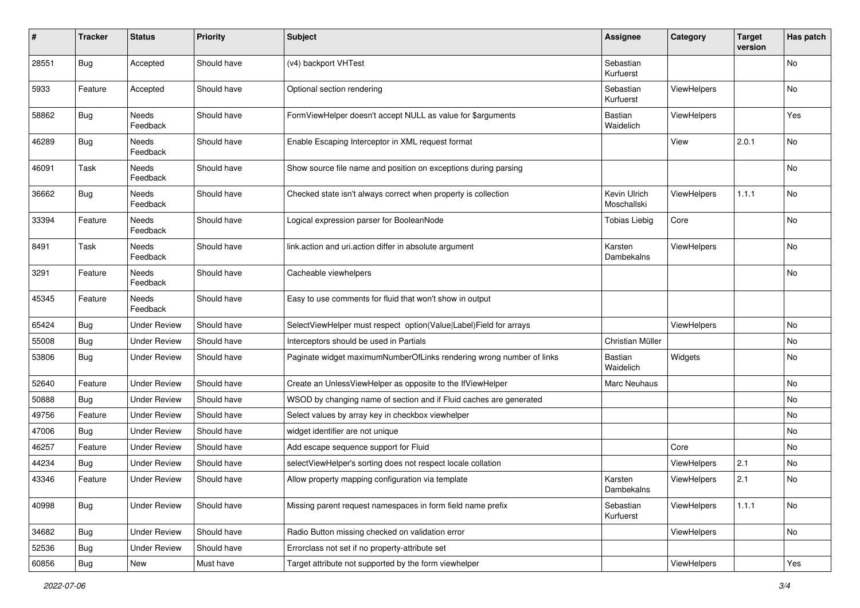| $\#$  | <b>Tracker</b> | <b>Status</b>       | <b>Priority</b> | <b>Subject</b>                                                       | <b>Assignee</b>             | Category    | <b>Target</b><br>version | Has patch |
|-------|----------------|---------------------|-----------------|----------------------------------------------------------------------|-----------------------------|-------------|--------------------------|-----------|
| 28551 | <b>Bug</b>     | Accepted            | Should have     | (v4) backport VHTest                                                 | Sebastian<br>Kurfuerst      |             |                          | <b>No</b> |
| 5933  | Feature        | Accepted            | Should have     | Optional section rendering                                           | Sebastian<br>Kurfuerst      | ViewHelpers |                          | No        |
| 58862 | Bug            | Needs<br>Feedback   | Should have     | FormViewHelper doesn't accept NULL as value for \$arguments          | Bastian<br>Waidelich        | ViewHelpers |                          | Yes       |
| 46289 | <b>Bug</b>     | Needs<br>Feedback   | Should have     | Enable Escaping Interceptor in XML request format                    |                             | View        | 2.0.1                    | No        |
| 46091 | Task           | Needs<br>Feedback   | Should have     | Show source file name and position on exceptions during parsing      |                             |             |                          | No        |
| 36662 | Bug            | Needs<br>Feedback   | Should have     | Checked state isn't always correct when property is collection       | Kevin Ulrich<br>Moschallski | ViewHelpers | 1.1.1                    | No        |
| 33394 | Feature        | Needs<br>Feedback   | Should have     | Logical expression parser for BooleanNode                            | <b>Tobias Liebig</b>        | Core        |                          | No        |
| 8491  | Task           | Needs<br>Feedback   | Should have     | link.action and uri.action differ in absolute argument               | Karsten<br>Dambekalns       | ViewHelpers |                          | No        |
| 3291  | Feature        | Needs<br>Feedback   | Should have     | Cacheable viewhelpers                                                |                             |             |                          | No        |
| 45345 | Feature        | Needs<br>Feedback   | Should have     | Easy to use comments for fluid that won't show in output             |                             |             |                          |           |
| 65424 | Bug            | <b>Under Review</b> | Should have     | SelectViewHelper must respect option(Value Label)Field for arrays    |                             | ViewHelpers |                          | No        |
| 55008 | Bug            | <b>Under Review</b> | Should have     | Interceptors should be used in Partials                              | Christian Müller            |             |                          | No        |
| 53806 | Bug            | <b>Under Review</b> | Should have     | Paginate widget maximumNumberOfLinks rendering wrong number of links | <b>Bastian</b><br>Waidelich | Widgets     |                          | No        |
| 52640 | Feature        | <b>Under Review</b> | Should have     | Create an UnlessViewHelper as opposite to the IfViewHelper           | Marc Neuhaus                |             |                          | No        |
| 50888 | Bug            | <b>Under Review</b> | Should have     | WSOD by changing name of section and if Fluid caches are generated   |                             |             |                          | No        |
| 49756 | Feature        | <b>Under Review</b> | Should have     | Select values by array key in checkbox viewhelper                    |                             |             |                          | No        |
| 47006 | Bug            | <b>Under Review</b> | Should have     | widget identifier are not unique                                     |                             |             |                          | <b>No</b> |
| 46257 | Feature        | <b>Under Review</b> | Should have     | Add escape sequence support for Fluid                                |                             | Core        |                          | No        |
| 44234 | Bug            | <b>Under Review</b> | Should have     | selectViewHelper's sorting does not respect locale collation         |                             | ViewHelpers | 2.1                      | No        |
| 43346 | Feature        | <b>Under Review</b> | Should have     | Allow property mapping configuration via template                    | Karsten<br>Dambekalns       | ViewHelpers | 2.1                      | No        |
| 40998 | <b>Bug</b>     | <b>Under Review</b> | Should have     | Missing parent request namespaces in form field name prefix          | Sebastian<br>Kurfuerst      | ViewHelpers | 1.1.1                    | No        |
| 34682 | <b>Bug</b>     | <b>Under Review</b> | Should have     | Radio Button missing checked on validation error                     |                             | ViewHelpers |                          | No        |
| 52536 | <b>Bug</b>     | <b>Under Review</b> | Should have     | Errorclass not set if no property-attribute set                      |                             |             |                          |           |
| 60856 | Bug            | New                 | Must have       | Target attribute not supported by the form viewhelper                |                             | ViewHelpers |                          | Yes       |